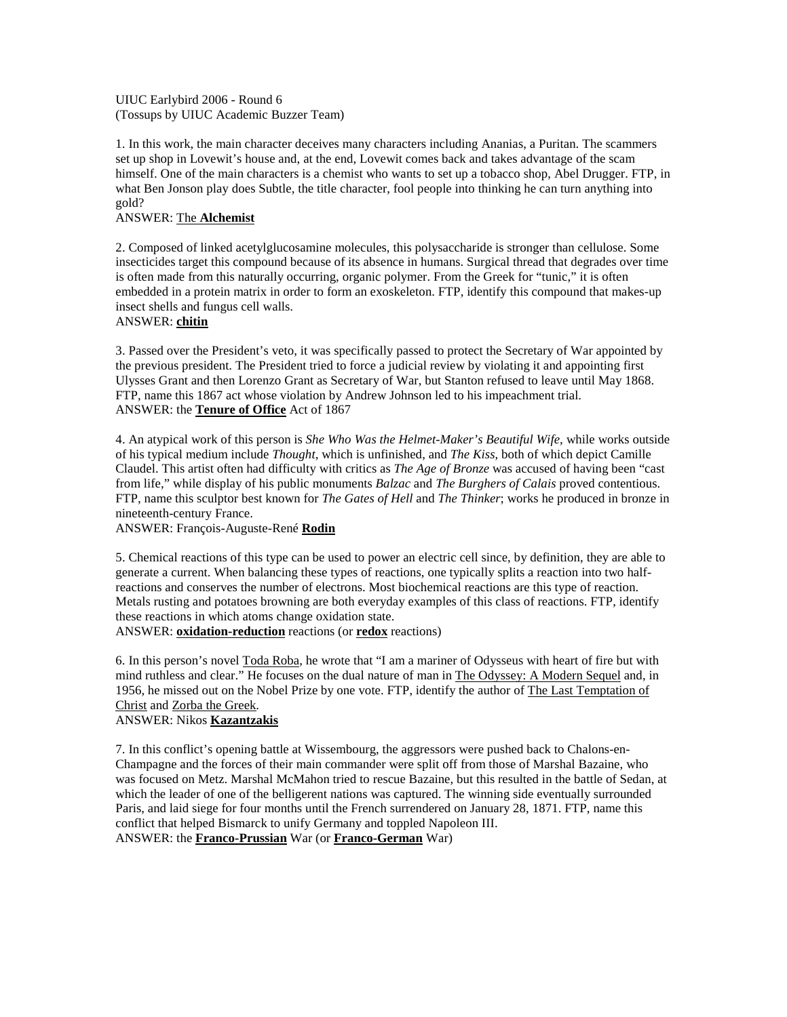UIUC Earlybird 2006 - Round 6 (Tossups by UIUC Academic Buzzer Team)

1. In this work, the main character deceives many characters including Ananias, a Puritan. The scammers set up shop in Lovewit's house and, at the end, Lovewit comes back and takes advantage of the scam himself. One of the main characters is a chemist who wants to set up a tobacco shop, Abel Drugger. FTP, in what Ben Jonson play does Subtle, the title character, fool people into thinking he can turn anything into gold?

## ANSWER: The **Alchemist**

2. Composed of linked acetylglucosamine molecules, this polysaccharide is stronger than cellulose. Some insecticides target this compound because of its absence in humans. Surgical thread that degrades over time is often made from this naturally occurring, organic polymer. From the Greek for "tunic," it is often embedded in a protein matrix in order to form an exoskeleton. FTP, identify this compound that makes-up insect shells and fungus cell walls.

### ANSWER: **chitin**

3. Passed over the President's veto, it was specifically passed to protect the Secretary of War appointed by the previous president. The President tried to force a judicial review by violating it and appointing first Ulysses Grant and then Lorenzo Grant as Secretary of War, but Stanton refused to leave until May 1868. FTP, name this 1867 act whose violation by Andrew Johnson led to his impeachment trial. ANSWER: the **Tenure of Office** Act of 1867

4. An atypical work of this person is *She Who Was the Helmet-Maker's Beautiful Wife*, while works outside of his typical medium include *Thought*, which is unfinished, and *The Kiss*, both of which depict Camille Claudel. This artist often had difficulty with critics as *The Age of Bronze* was accused of having been "cast from life," while display of his public monuments *Balzac* and *The Burghers of Calais* proved contentious. FTP, name this sculptor best known for *The Gates of Hell* and *The Thinker*; works he produced in bronze in nineteenth-century France.

ANSWER: François-Auguste-René **Rodin**

5. Chemical reactions of this type can be used to power an electric cell since, by definition, they are able to generate a current. When balancing these types of reactions, one typically splits a reaction into two halfreactions and conserves the number of electrons. Most biochemical reactions are this type of reaction. Metals rusting and potatoes browning are both everyday examples of this class of reactions. FTP, identify these reactions in which atoms change oxidation state.

### ANSWER: **oxidation-reduction** reactions (or **redox** reactions)

6. In this person's novel Toda Roba, he wrote that "I am a mariner of Odysseus with heart of fire but with mind ruthless and clear." He focuses on the dual nature of man in The Odyssey: A Modern Sequel and, in 1956, he missed out on the Nobel Prize by one vote. FTP, identify the author of The Last Temptation of Christ and Zorba the Greek.

## ANSWER: Nikos **Kazantzakis**

7. In this conflict's opening battle at Wissembourg, the aggressors were pushed back to Chalons-en-Champagne and the forces of their main commander were split off from those of Marshal Bazaine, who was focused on Metz. Marshal McMahon tried to rescue Bazaine, but this resulted in the battle of Sedan, at which the leader of one of the belligerent nations was captured. The winning side eventually surrounded Paris, and laid siege for four months until the French surrendered on January 28, 1871. FTP, name this conflict that helped Bismarck to unify Germany and toppled Napoleon III. ANSWER: the **Franco-Prussian** War (or **Franco-German** War)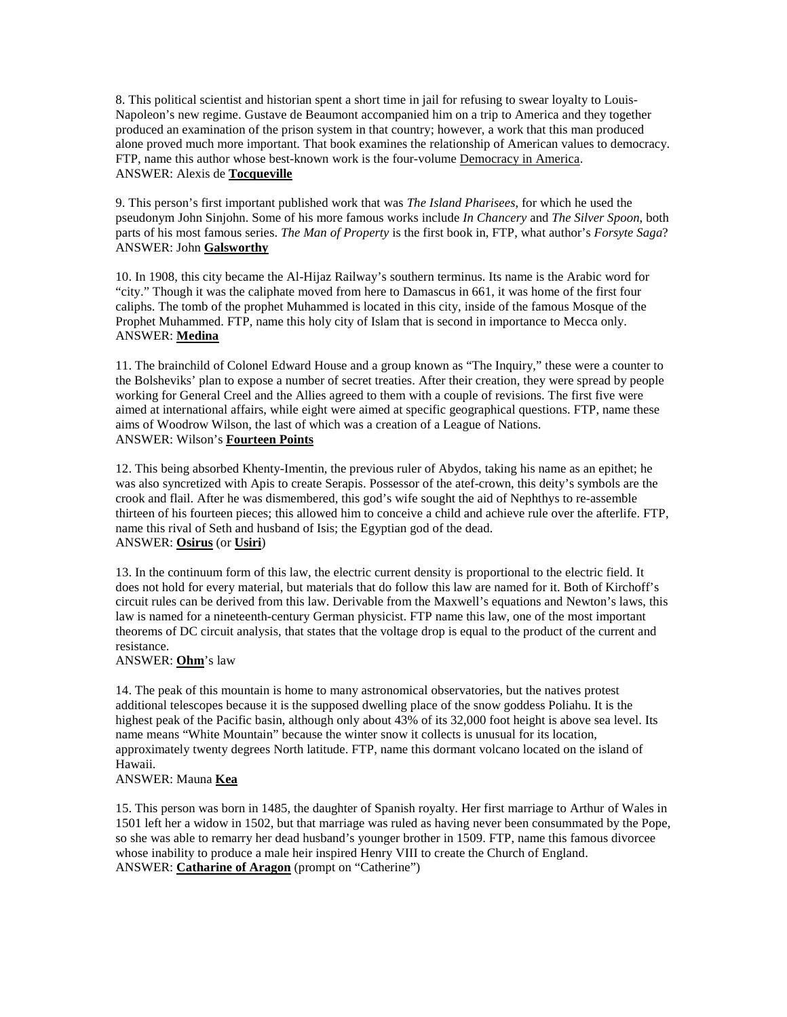8. This political scientist and historian spent a short time in jail for refusing to swear loyalty to Louis-Napoleon's new regime. Gustave de Beaumont accompanied him on a trip to America and they together produced an examination of the prison system in that country; however, a work that this man produced alone proved much more important. That book examines the relationship of American values to democracy. FTP, name this author whose best-known work is the four-volume Democracy in America. ANSWER: Alexis de **Tocqueville**

9. This person's first important published work that was *The Island Pharisees*, for which he used the pseudonym John Sinjohn. Some of his more famous works include *In Chancery* and *The Silver Spoon*, both parts of his most famous series. *The Man of Property* is the first book in, FTP, what author's *Forsyte Saga*? ANSWER: John **Galsworthy**

10. In 1908, this city became the Al-Hijaz Railway's southern terminus. Its name is the Arabic word for "city." Though it was the caliphate moved from here to Damascus in 661, it was home of the first four caliphs. The tomb of the prophet Muhammed is located in this city, inside of the famous Mosque of the Prophet Muhammed. FTP, name this holy city of Islam that is second in importance to Mecca only. ANSWER: **Medina**

11. The brainchild of Colonel Edward House and a group known as "The Inquiry," these were a counter to the Bolsheviks' plan to expose a number of secret treaties. After their creation, they were spread by people working for General Creel and the Allies agreed to them with a couple of revisions. The first five were aimed at international affairs, while eight were aimed at specific geographical questions. FTP, name these aims of Woodrow Wilson, the last of which was a creation of a League of Nations. ANSWER: Wilson's **Fourteen Points**

12. This being absorbed Khenty-Imentin, the previous ruler of Abydos, taking his name as an epithet; he was also syncretized with Apis to create Serapis. Possessor of the atef-crown, this deity's symbols are the crook and flail. After he was dismembered, this god's wife sought the aid of Nephthys to re-assemble thirteen of his fourteen pieces; this allowed him to conceive a child and achieve rule over the afterlife. FTP, name this rival of Seth and husband of Isis; the Egyptian god of the dead. ANSWER: **Osirus** (or **Usiri**)

13. In the continuum form of this law, the electric current density is proportional to the electric field. It does not hold for every material, but materials that do follow this law are named for it. Both of Kirchoff's circuit rules can be derived from this law. Derivable from the Maxwell's equations and Newton's laws, this law is named for a nineteenth-century German physicist. FTP name this law, one of the most important theorems of DC circuit analysis, that states that the voltage drop is equal to the product of the current and resistance.

#### ANSWER: **Ohm**'s law

14. The peak of this mountain is home to many astronomical observatories, but the natives protest additional telescopes because it is the supposed dwelling place of the snow goddess Poliahu. It is the highest peak of the Pacific basin, although only about 43% of its 32,000 foot height is above sea level. Its name means "White Mountain" because the winter snow it collects is unusual for its location, approximately twenty degrees North latitude. FTP, name this dormant volcano located on the island of Hawaii.

#### ANSWER: Mauna **Kea**

15. This person was born in 1485, the daughter of Spanish royalty. Her first marriage to Arthur of Wales in 1501 left her a widow in 1502, but that marriage was ruled as having never been consummated by the Pope, so she was able to remarry her dead husband's younger brother in 1509. FTP, name this famous divorcee whose inability to produce a male heir inspired Henry VIII to create the Church of England. ANSWER: **Catharine of Aragon** (prompt on "Catherine")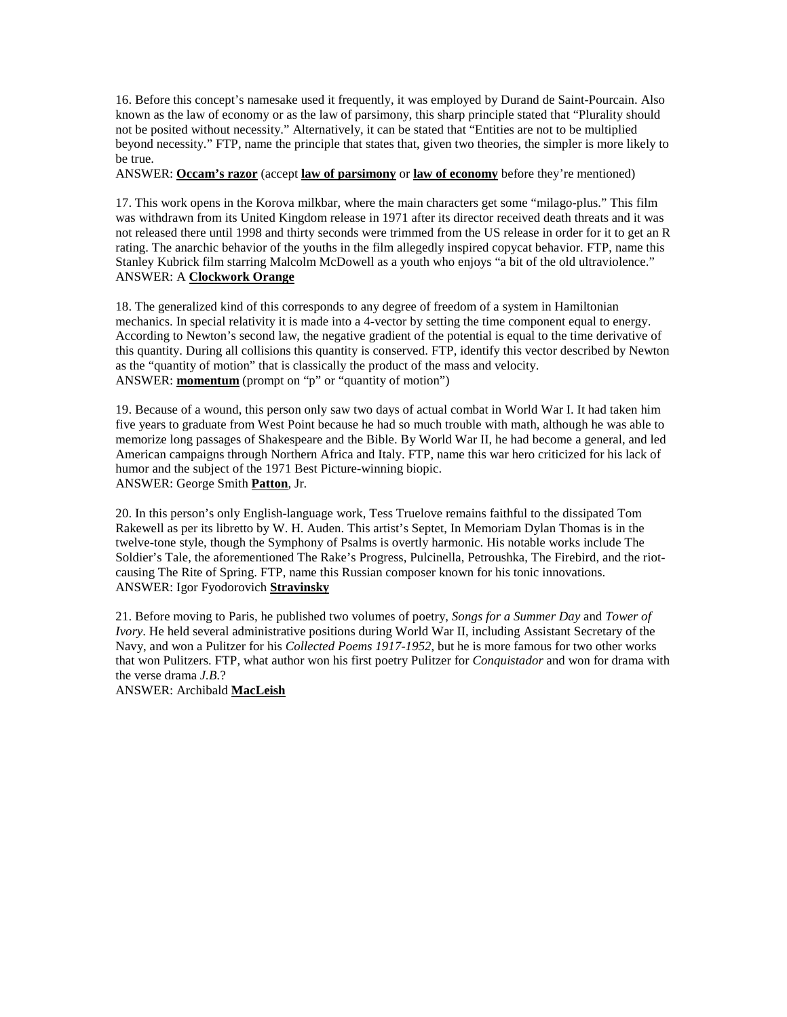16. Before this concept's namesake used it frequently, it was employed by Durand de Saint-Pourcain. Also known as the law of economy or as the law of parsimony, this sharp principle stated that "Plurality should not be posited without necessity." Alternatively, it can be stated that "Entities are not to be multiplied beyond necessity." FTP, name the principle that states that, given two theories, the simpler is more likely to be true.

ANSWER: **Occam's razor** (accept **law of parsimony** or **law of economy** before they're mentioned)

17. This work opens in the Korova milkbar, where the main characters get some "milago-plus." This film was withdrawn from its United Kingdom release in 1971 after its director received death threats and it was not released there until 1998 and thirty seconds were trimmed from the US release in order for it to get an R rating. The anarchic behavior of the youths in the film allegedly inspired copycat behavior. FTP, name this Stanley Kubrick film starring Malcolm McDowell as a youth who enjoys "a bit of the old ultraviolence." ANSWER: A **Clockwork Orange**

18. The generalized kind of this corresponds to any degree of freedom of a system in Hamiltonian mechanics. In special relativity it is made into a 4-vector by setting the time component equal to energy. According to Newton's second law, the negative gradient of the potential is equal to the time derivative of this quantity. During all collisions this quantity is conserved. FTP, identify this vector described by Newton as the "quantity of motion" that is classically the product of the mass and velocity. ANSWER: **momentum** (prompt on "p" or "quantity of motion")

19. Because of a wound, this person only saw two days of actual combat in World War I. It had taken him five years to graduate from West Point because he had so much trouble with math, although he was able to memorize long passages of Shakespeare and the Bible. By World War II, he had become a general, and led American campaigns through Northern Africa and Italy. FTP, name this war hero criticized for his lack of humor and the subject of the 1971 Best Picture-winning biopic. ANSWER: George Smith **Patton**, Jr.

20. In this person's only English-language work, Tess Truelove remains faithful to the dissipated Tom Rakewell as per its libretto by W. H. Auden. This artist's Septet, In Memoriam Dylan Thomas is in the twelve-tone style, though the Symphony of Psalms is overtly harmonic. His notable works include The Soldier's Tale, the aforementioned The Rake's Progress, Pulcinella, Petroushka, The Firebird, and the riotcausing The Rite of Spring. FTP, name this Russian composer known for his tonic innovations. ANSWER: Igor Fyodorovich **Stravinsky**

21. Before moving to Paris, he published two volumes of poetry, *Songs for a Summer Day* and *Tower of Ivory*. He held several administrative positions during World War II, including Assistant Secretary of the Navy, and won a Pulitzer for his *Collected Poems 1917-1952*, but he is more famous for two other works that won Pulitzers. FTP, what author won his first poetry Pulitzer for *Conquistador* and won for drama with the verse drama *J.B.*?

ANSWER: Archibald **MacLeish**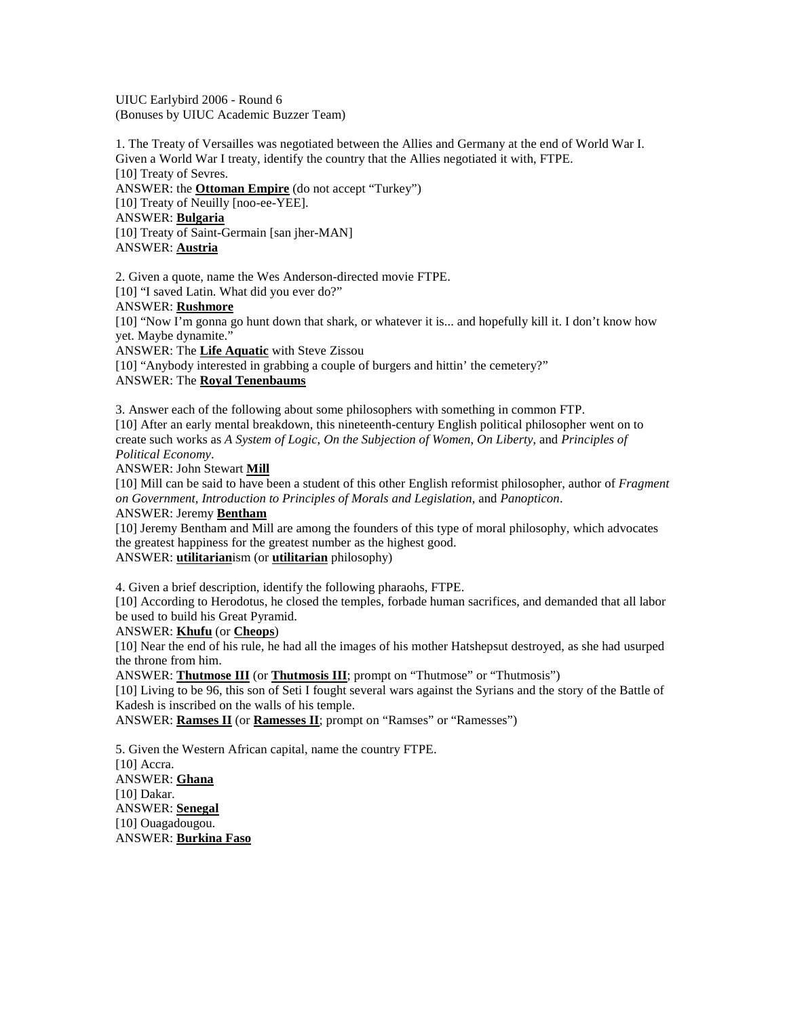UIUC Earlybird 2006 - Round 6 (Bonuses by UIUC Academic Buzzer Team)

1. The Treaty of Versailles was negotiated between the Allies and Germany at the end of World War I. Given a World War I treaty, identify the country that the Allies negotiated it with, FTPE. [10] Treaty of Sevres. ANSWER: the **Ottoman Empire** (do not accept "Turkey") [10] Treaty of Neuilly [noo-ee-YEE]. ANSWER: **Bulgaria** [10] Treaty of Saint-Germain [san jher-MAN] ANSWER: **Austria**

2. Given a quote, name the Wes Anderson-directed movie FTPE. [10] "I saved Latin. What did you ever do?" ANSWER: **Rushmore** [10] "Now I'm gonna go hunt down that shark, or whatever it is... and hopefully kill it. I don't know how yet. Maybe dynamite." ANSWER: The **Life Aquatic** with Steve Zissou [10] "Anybody interested in grabbing a couple of burgers and hittin' the cemetery?"

ANSWER: The **Royal Tenenbaums**

3. Answer each of the following about some philosophers with something in common FTP. [10] After an early mental breakdown, this nineteenth-century English political philosopher went on to create such works as *A System of Logic*, *On the Subjection of Women*, *On Liberty*, and *Principles of Political Economy*.

ANSWER: John Stewart **Mill**

[10] Mill can be said to have been a student of this other English reformist philosopher, author of *Fragment on Government*, *Introduction to Principles of Morals and Legislation*, and *Panopticon*.

ANSWER: Jeremy **Bentham**

[10] Jeremy Bentham and Mill are among the founders of this type of moral philosophy, which advocates the greatest happiness for the greatest number as the highest good. ANSWER: **utilitarian**ism (or **utilitarian** philosophy)

4. Given a brief description, identify the following pharaohs, FTPE.

[10] According to Herodotus, he closed the temples, forbade human sacrifices, and demanded that all labor be used to build his Great Pyramid.

ANSWER: **Khufu** (or **Cheops**)

[10] Near the end of his rule, he had all the images of his mother Hatshepsut destroyed, as she had usurped the throne from him.

ANSWER: **Thutmose III** (or **Thutmosis III**; prompt on "Thutmose" or "Thutmosis")

[10] Living to be 96, this son of Seti I fought several wars against the Syrians and the story of the Battle of Kadesh is inscribed on the walls of his temple.

ANSWER: **Ramses II** (or **Ramesses II**; prompt on "Ramses" or "Ramesses")

5. Given the Western African capital, name the country FTPE. [10] Accra. ANSWER: **Ghana** [10] Dakar. ANSWER: **Senegal** [10] Ouagadougou. ANSWER: **Burkina Faso**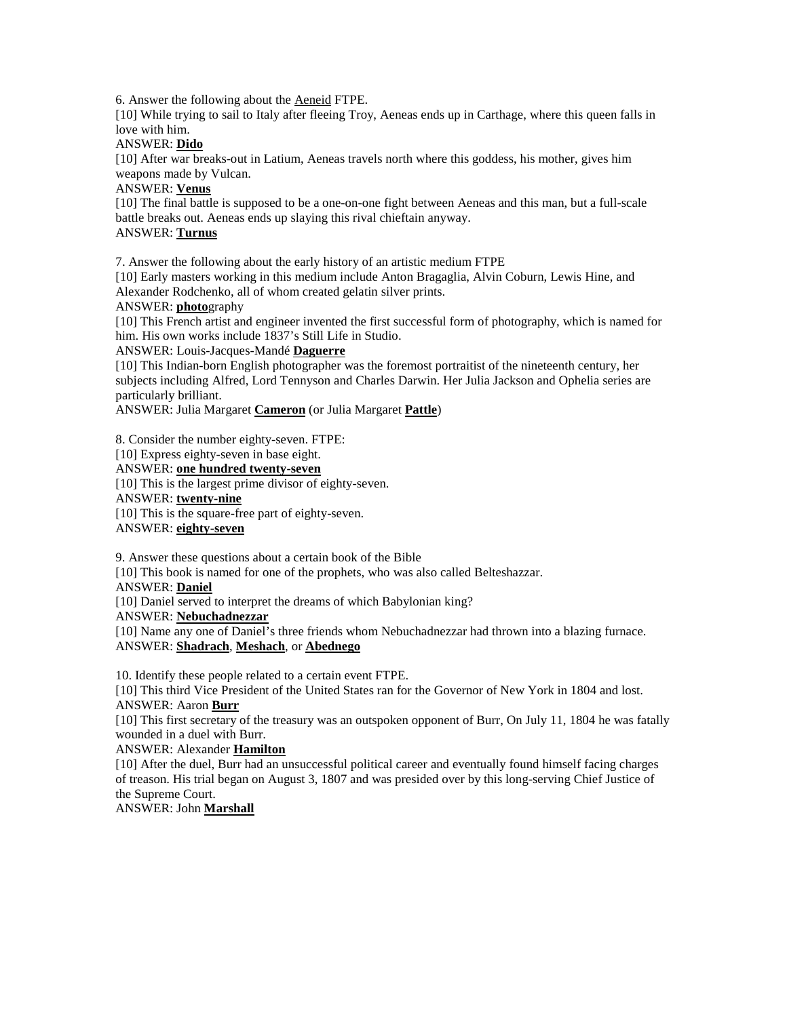6. Answer the following about the Aeneid FTPE.

[10] While trying to sail to Italy after fleeing Troy, Aeneas ends up in Carthage, where this queen falls in love with him.

ANSWER: **Dido**

[10] After war breaks-out in Latium, Aeneas travels north where this goddess, his mother, gives him weapons made by Vulcan.

ANSWER: **Venus**

[10] The final battle is supposed to be a one-on-one fight between Aeneas and this man, but a full-scale battle breaks out. Aeneas ends up slaying this rival chieftain anyway. ANSWER: **Turnus**

7. Answer the following about the early history of an artistic medium FTPE

[10] Early masters working in this medium include Anton Bragaglia, Alvin Coburn, Lewis Hine, and Alexander Rodchenko, all of whom created gelatin silver prints.

### ANSWER: **photo**graphy

[10] This French artist and engineer invented the first successful form of photography, which is named for him. His own works include 1837's Still Life in Studio.

ANSWER: Louis-Jacques-Mandé **Daguerre**

[10] This Indian-born English photographer was the foremost portraitist of the nineteenth century, her subjects including Alfred, Lord Tennyson and Charles Darwin. Her Julia Jackson and Ophelia series are particularly brilliant.

ANSWER: Julia Margaret **Cameron** (or Julia Margaret **Pattle**)

8. Consider the number eighty-seven. FTPE:

[10] Express eighty-seven in base eight.

ANSWER: **one hundred twenty-seven**

[10] This is the largest prime divisor of eighty-seven.

#### ANSWER: **twenty-nine**

[10] This is the square-free part of eighty-seven.

#### ANSWER: **eighty-seven**

9. Answer these questions about a certain book of the Bible

[10] This book is named for one of the prophets, who was also called Belteshazzar.

ANSWER: **Daniel**

[10] Daniel served to interpret the dreams of which Babylonian king?

ANSWER: **Nebuchadnezzar**

[10] Name any one of Daniel's three friends whom Nebuchadnezzar had thrown into a blazing furnace. ANSWER: **Shadrach**, **Meshach**, or **Abednego**

10. Identify these people related to a certain event FTPE.

[10] This third Vice President of the United States ran for the Governor of New York in 1804 and lost. ANSWER: Aaron **Burr**

[10] This first secretary of the treasury was an outspoken opponent of Burr, On July 11, 1804 he was fatally wounded in a duel with Burr.

ANSWER: Alexander **Hamilton**

[10] After the duel, Burr had an unsuccessful political career and eventually found himself facing charges of treason. His trial began on August 3, 1807 and was presided over by this long-serving Chief Justice of the Supreme Court.

ANSWER: John **Marshall**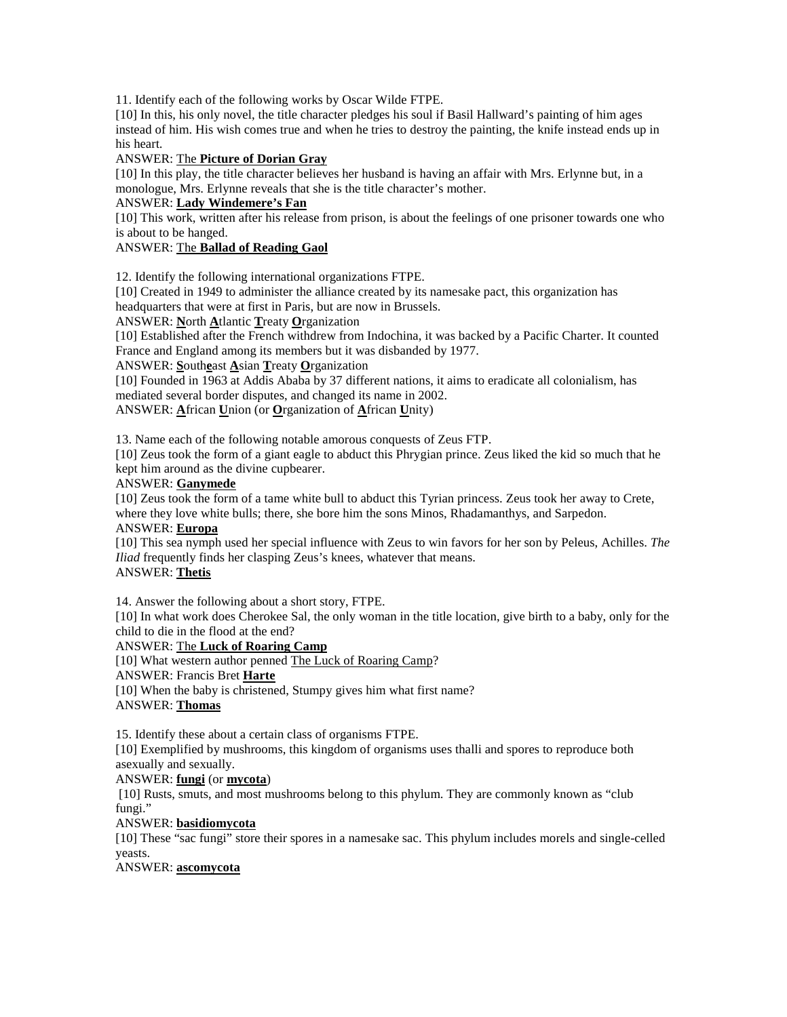11. Identify each of the following works by Oscar Wilde FTPE.

[10] In this, his only novel, the title character pledges his soul if Basil Hallward's painting of him ages instead of him. His wish comes true and when he tries to destroy the painting, the knife instead ends up in his heart.

## ANSWER: The **Picture of Dorian Gray**

[10] In this play, the title character believes her husband is having an affair with Mrs. Erlynne but, in a monologue, Mrs. Erlynne reveals that she is the title character's mother.

## ANSWER: **Lady Windemere's Fan**

[10] This work, written after his release from prison, is about the feelings of one prisoner towards one who is about to be hanged.

# ANSWER: The **Ballad of Reading Gaol**

12. Identify the following international organizations FTPE.

[10] Created in 1949 to administer the alliance created by its namesake pact, this organization has

headquarters that were at first in Paris, but are now in Brussels.

ANSWER: **N**orth **A**tlantic **T**reaty **O**rganization

[10] Established after the French withdrew from Indochina, it was backed by a Pacific Charter. It counted France and England among its members but it was disbanded by 1977.

# ANSWER: **S**outh**e**ast **A**sian **T**reaty **O**rganization

[10] Founded in 1963 at Addis Ababa by 37 different nations, it aims to eradicate all colonialism, has mediated several border disputes, and changed its name in 2002.

ANSWER: **A**frican **U**nion (or **O**rganization of **A**frican **U**nity)

13. Name each of the following notable amorous conquests of Zeus FTP.

[10] Zeus took the form of a giant eagle to abduct this Phrygian prince. Zeus liked the kid so much that he kept him around as the divine cupbearer.

# ANSWER: **Ganymede**

[10] Zeus took the form of a tame white bull to abduct this Tyrian princess. Zeus took her away to Crete, where they love white bulls; there, she bore him the sons Minos, Rhadamanthys, and Sarpedon.

# ANSWER: **Europa**

[10] This sea nymph used her special influence with Zeus to win favors for her son by Peleus, Achilles. *The Iliad* frequently finds her clasping Zeus's knees, whatever that means. ANSWER: **Thetis**

# 14. Answer the following about a short story, FTPE.

[10] In what work does Cherokee Sal, the only woman in the title location, give birth to a baby, only for the child to die in the flood at the end?

## ANSWER: The **Luck of Roaring Camp**

[10] What western author penned The Luck of Roaring Camp? ANSWER: Francis Bret **Harte** [10] When the baby is christened, Stumpy gives him what first name? ANSWER: **Thomas**

15. Identify these about a certain class of organisms FTPE.

[10] Exemplified by mushrooms, this kingdom of organisms uses thalli and spores to reproduce both asexually and sexually.

## ANSWER: **fungi** (or **mycota**)

 [10] Rusts, smuts, and most mushrooms belong to this phylum. They are commonly known as "club fungi."

## ANSWER: **basidiomycota**

[10] These "sac fungi" store their spores in a namesake sac. This phylum includes morels and single-celled yeasts.

## ANSWER: **ascomycota**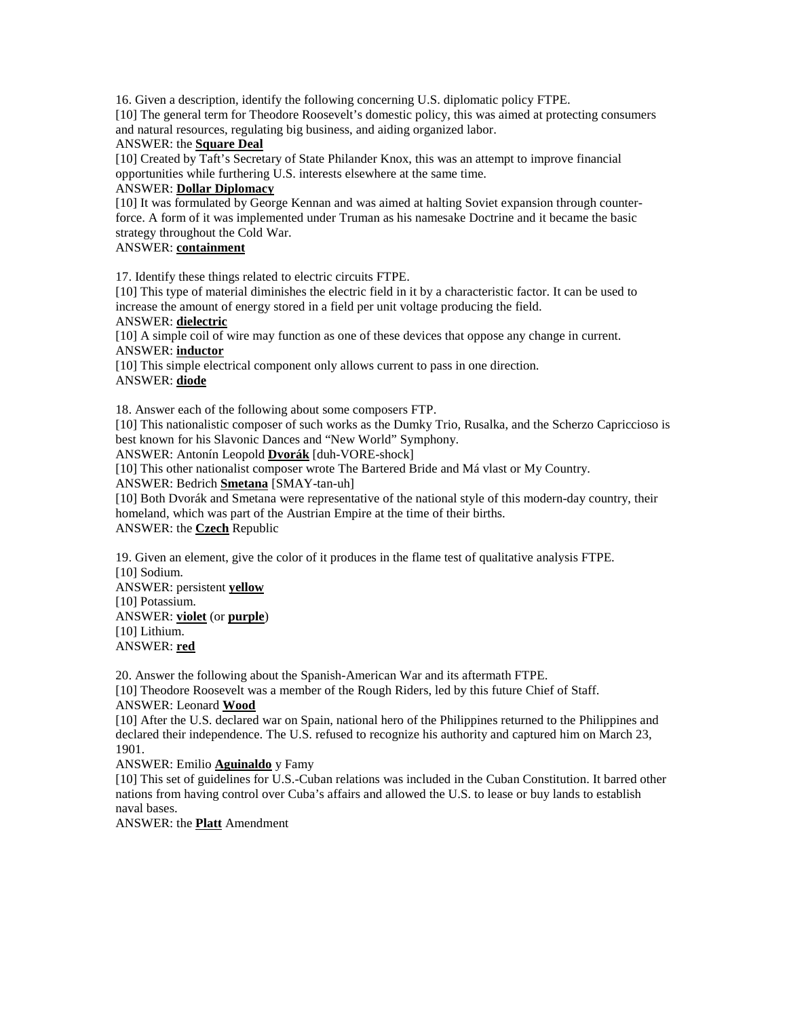16. Given a description, identify the following concerning U.S. diplomatic policy FTPE.

[10] The general term for Theodore Roosevelt's domestic policy, this was aimed at protecting consumers and natural resources, regulating big business, and aiding organized labor.

# ANSWER: the **Square Deal**

[10] Created by Taft's Secretary of State Philander Knox, this was an attempt to improve financial opportunities while furthering U.S. interests elsewhere at the same time.

### ANSWER: **Dollar Diplomacy**

[10] It was formulated by George Kennan and was aimed at halting Soviet expansion through counterforce. A form of it was implemented under Truman as his namesake Doctrine and it became the basic strategy throughout the Cold War.

## ANSWER: **containment**

17. Identify these things related to electric circuits FTPE.

[10] This type of material diminishes the electric field in it by a characteristic factor. It can be used to increase the amount of energy stored in a field per unit voltage producing the field.

### ANSWER: **dielectric**

[10] A simple coil of wire may function as one of these devices that oppose any change in current. ANSWER: **inductor**

[10] This simple electrical component only allows current to pass in one direction. ANSWER: **diode**

18. Answer each of the following about some composers FTP.

[10] This nationalistic composer of such works as the Dumky Trio, Rusalka, and the Scherzo Capriccioso is best known for his Slavonic Dances and "New World" Symphony.

ANSWER: Antonín Leopold **Dvorák** [duh-VORE-shock]

[10] This other nationalist composer wrote The Bartered Bride and Má vlast or My Country.

ANSWER: Bedrich **Smetana** [SMAY-tan-uh]

[10] Both Dvorák and Smetana were representative of the national style of this modern-day country, their homeland, which was part of the Austrian Empire at the time of their births.

ANSWER: the **Czech** Republic

19. Given an element, give the color of it produces in the flame test of qualitative analysis FTPE. [10] Sodium.

ANSWER: persistent **yellow** [10] Potassium. ANSWER: **violet** (or **purple**) [10] Lithium. ANSWER: **red**

20. Answer the following about the Spanish-American War and its aftermath FTPE.

[10] Theodore Roosevelt was a member of the Rough Riders, led by this future Chief of Staff. ANSWER: Leonard **Wood**

[10] After the U.S. declared war on Spain, national hero of the Philippines returned to the Philippines and declared their independence. The U.S. refused to recognize his authority and captured him on March 23, 1901.

ANSWER: Emilio **Aguinaldo** y Famy

[10] This set of guidelines for U.S.-Cuban relations was included in the Cuban Constitution. It barred other nations from having control over Cuba's affairs and allowed the U.S. to lease or buy lands to establish naval bases.

ANSWER: the **Platt** Amendment